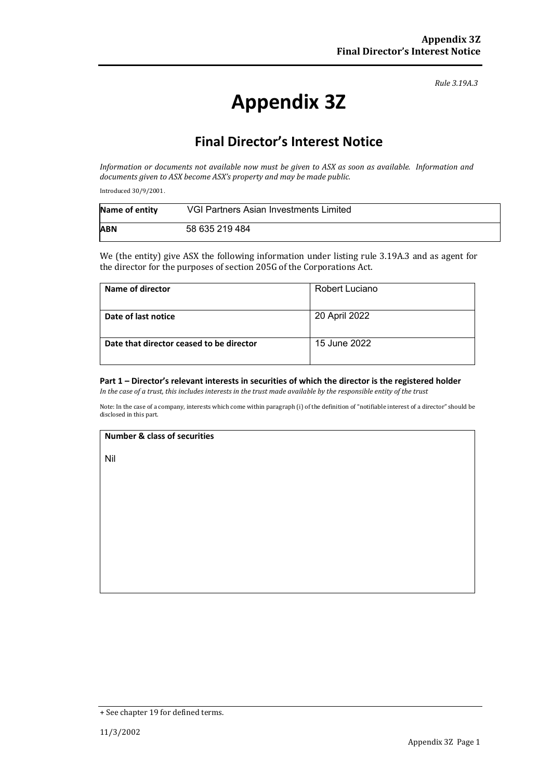*Rule 3.19A.3*

# **Appendix 3Z**

## **Final Director's Interest Notice**

*Information or documents not available now must be given to ASX as soon as available. Information and documents given to ASX become ASX's property and may be made public.*

Introduced 30/9/2001.

| Name of entity | VGI Partners Asian Investments Limited |
|----------------|----------------------------------------|
| <b>ABN</b>     | 58 635 219 484                         |

We (the entity) give ASX the following information under listing rule 3.19A.3 and as agent for the director for the purposes of section 205G of the Corporations Act.

| Name of director                         | Robert Luciano |
|------------------------------------------|----------------|
| Date of last notice                      | 20 April 2022  |
| Date that director ceased to be director | 15 June 2022   |

#### **Part 1 – Director's relevant interests in securities of which the director is the registered holder**

*In the case of a trust, this includes interests in the trust made available by the responsible entity of the trust*

Note: In the case of a company, interests which come within paragraph (i) of the definition of "notifiable interest of a director" should be disclosed in this part.

#### **Number & class of securities**

Nil

<sup>+</sup> See chapter 19 for defined terms.